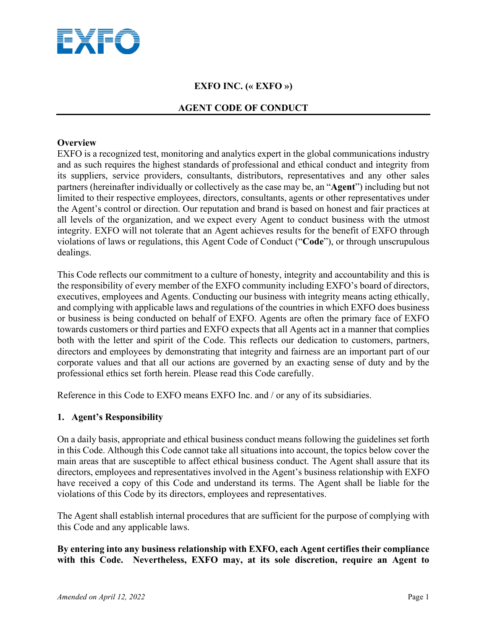

# **EXFO INC. (« EXFO »)**

### **AGENT CODE OF CONDUCT**

### **Overview**

EXFO is a recognized test, monitoring and analytics expert in the global communications industry and as such requires the highest standards of professional and ethical conduct and integrity from its suppliers, service providers, consultants, distributors, representatives and any other sales partners (hereinafter individually or collectively as the case may be, an "**Agent**") including but not limited to their respective employees, directors, consultants, agents or other representatives under the Agent's control or direction. Our reputation and brand is based on honest and fair practices at all levels of the organization, and we expect every Agent to conduct business with the utmost integrity. EXFO will not tolerate that an Agent achieves results for the benefit of EXFO through violations of laws or regulations, this Agent Code of Conduct ("**Code**"), or through unscrupulous dealings.

This Code reflects our commitment to a culture of honesty, integrity and accountability and this is the responsibility of every member of the EXFO community including EXFO's board of directors, executives, employees and Agents. Conducting our business with integrity means acting ethically, and complying with applicable laws and regulations of the countries in which EXFO does business or business is being conducted on behalf of EXFO. Agents are often the primary face of EXFO towards customers or third parties and EXFO expects that all Agents act in a manner that complies both with the letter and spirit of the Code. This reflects our dedication to customers, partners, directors and employees by demonstrating that integrity and fairness are an important part of our corporate values and that all our actions are governed by an exacting sense of duty and by the professional ethics set forth herein. Please read this Code carefully.

Reference in this Code to EXFO means EXFO Inc. and / or any of its subsidiaries.

### **1. Agent's Responsibility**

On a daily basis, appropriate and ethical business conduct means following the guidelines set forth in this Code. Although this Code cannot take all situations into account, the topics below cover the main areas that are susceptible to affect ethical business conduct. The Agent shall assure that its directors, employees and representatives involved in the Agent's business relationship with EXFO have received a copy of this Code and understand its terms. The Agent shall be liable for the violations of this Code by its directors, employees and representatives.

The Agent shall establish internal procedures that are sufficient for the purpose of complying with this Code and any applicable laws.

**By entering into any business relationship with EXFO, each Agent certifies their compliance with this Code. Nevertheless, EXFO may, at its sole discretion, require an Agent to**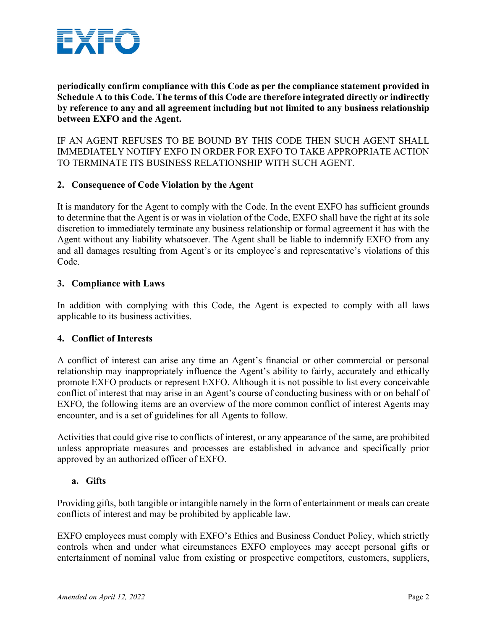

**periodically confirm compliance with this Code as per the compliance statement provided in Schedule A to this Code. The terms of this Code are therefore integrated directly or indirectly by reference to any and all agreement including but not limited to any business relationship between EXFO and the Agent.**

IF AN AGENT REFUSES TO BE BOUND BY THIS CODE THEN SUCH AGENT SHALL IMMEDIATELY NOTIFY EXFO IN ORDER FOR EXFO TO TAKE APPROPRIATE ACTION TO TERMINATE ITS BUSINESS RELATIONSHIP WITH SUCH AGENT.

### **2. Consequence of Code Violation by the Agent**

It is mandatory for the Agent to comply with the Code. In the event EXFO has sufficient grounds to determine that the Agent is or was in violation of the Code, EXFO shall have the right at its sole discretion to immediately terminate any business relationship or formal agreement it has with the Agent without any liability whatsoever. The Agent shall be liable to indemnify EXFO from any and all damages resulting from Agent's or its employee's and representative's violations of this Code.

### **3. Compliance with Laws**

In addition with complying with this Code, the Agent is expected to comply with all laws applicable to its business activities.

### **4. Conflict of Interests**

A conflict of interest can arise any time an Agent's financial or other commercial or personal relationship may inappropriately influence the Agent's ability to fairly, accurately and ethically promote EXFO products or represent EXFO. Although it is not possible to list every conceivable conflict of interest that may arise in an Agent's course of conducting business with or on behalf of EXFO, the following items are an overview of the more common conflict of interest Agents may encounter, and is a set of guidelines for all Agents to follow.

Activities that could give rise to conflicts of interest, or any appearance of the same, are prohibited unless appropriate measures and processes are established in advance and specifically prior approved by an authorized officer of EXFO.

### **a. Gifts**

Providing gifts, both tangible or intangible namely in the form of entertainment or meals can create conflicts of interest and may be prohibited by applicable law.

EXFO employees must comply with EXFO's Ethics and Business Conduct Policy, which strictly controls when and under what circumstances EXFO employees may accept personal gifts or entertainment of nominal value from existing or prospective competitors, customers, suppliers,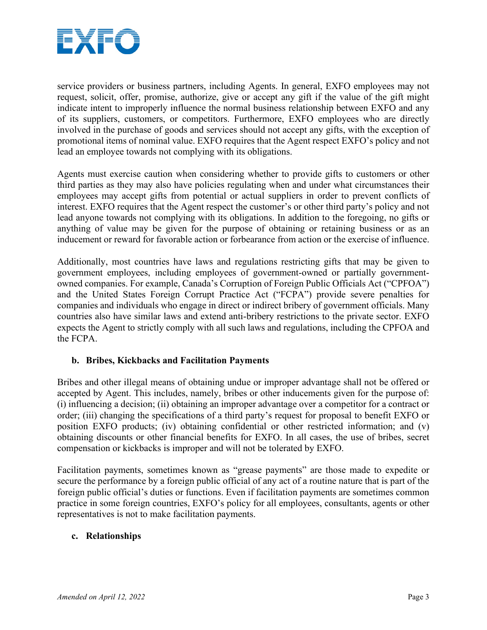

service providers or business partners, including Agents. In general, EXFO employees may not request, solicit, offer, promise, authorize, give or accept any gift if the value of the gift might indicate intent to improperly influence the normal business relationship between EXFO and any of its suppliers, customers, or competitors. Furthermore, EXFO employees who are directly involved in the purchase of goods and services should not accept any gifts, with the exception of promotional items of nominal value. EXFO requires that the Agent respect EXFO's policy and not lead an employee towards not complying with its obligations.

Agents must exercise caution when considering whether to provide gifts to customers or other third parties as they may also have policies regulating when and under what circumstances their employees may accept gifts from potential or actual suppliers in order to prevent conflicts of interest. EXFO requires that the Agent respect the customer's or other third party's policy and not lead anyone towards not complying with its obligations. In addition to the foregoing, no gifts or anything of value may be given for the purpose of obtaining or retaining business or as an inducement or reward for favorable action or forbearance from action or the exercise of influence.

Additionally, most countries have laws and regulations restricting gifts that may be given to government employees, including employees of government-owned or partially governmentowned companies. For example, Canada's Corruption of Foreign Public Officials Act ("CPFOA") and the United States Foreign Corrupt Practice Act ("FCPA") provide severe penalties for companies and individuals who engage in direct or indirect bribery of government officials. Many countries also have similar laws and extend anti-bribery restrictions to the private sector. EXFO expects the Agent to strictly comply with all such laws and regulations, including the CPFOA and the FCPA.

## **b. Bribes, Kickbacks and Facilitation Payments**

Bribes and other illegal means of obtaining undue or improper advantage shall not be offered or accepted by Agent. This includes, namely, bribes or other inducements given for the purpose of: (i) influencing a decision; (ii) obtaining an improper advantage over a competitor for a contract or order; (iii) changing the specifications of a third party's request for proposal to benefit EXFO or position EXFO products; (iv) obtaining confidential or other restricted information; and (v) obtaining discounts or other financial benefits for EXFO. In all cases, the use of bribes, secret compensation or kickbacks is improper and will not be tolerated by EXFO.

Facilitation payments, sometimes known as "grease payments" are those made to expedite or secure the performance by a foreign public official of any act of a routine nature that is part of the foreign public official's duties or functions. Even if facilitation payments are sometimes common practice in some foreign countries, EXFO's policy for all employees, consultants, agents or other representatives is not to make facilitation payments.

### **c. Relationships**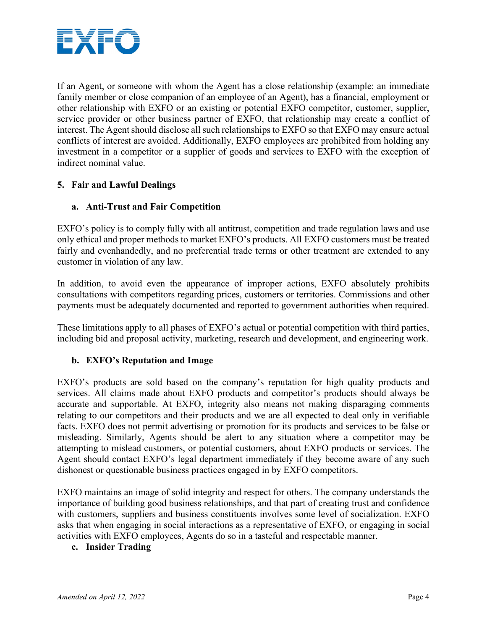

If an Agent, or someone with whom the Agent has a close relationship (example: an immediate family member or close companion of an employee of an Agent), has a financial, employment or other relationship with EXFO or an existing or potential EXFO competitor, customer, supplier, service provider or other business partner of EXFO, that relationship may create a conflict of interest. The Agent should disclose all such relationships to EXFO so that EXFO may ensure actual conflicts of interest are avoided. Additionally, EXFO employees are prohibited from holding any investment in a competitor or a supplier of goods and services to EXFO with the exception of indirect nominal value.

## **5. Fair and Lawful Dealings**

### **a. Anti-Trust and Fair Competition**

EXFO's policy is to comply fully with all antitrust, competition and trade regulation laws and use only ethical and proper methods to market EXFO's products. All EXFO customers must be treated fairly and evenhandedly, and no preferential trade terms or other treatment are extended to any customer in violation of any law.

In addition, to avoid even the appearance of improper actions, EXFO absolutely prohibits consultations with competitors regarding prices, customers or territories. Commissions and other payments must be adequately documented and reported to government authorities when required.

These limitations apply to all phases of EXFO's actual or potential competition with third parties, including bid and proposal activity, marketing, research and development, and engineering work.

## **b. EXFO's Reputation and Image**

EXFO's products are sold based on the company's reputation for high quality products and services. All claims made about EXFO products and competitor's products should always be accurate and supportable. At EXFO, integrity also means not making disparaging comments relating to our competitors and their products and we are all expected to deal only in verifiable facts. EXFO does not permit advertising or promotion for its products and services to be false or misleading. Similarly, Agents should be alert to any situation where a competitor may be attempting to mislead customers, or potential customers, about EXFO products or services. The Agent should contact EXFO's legal department immediately if they become aware of any such dishonest or questionable business practices engaged in by EXFO competitors.

EXFO maintains an image of solid integrity and respect for others. The company understands the importance of building good business relationships, and that part of creating trust and confidence with customers, suppliers and business constituents involves some level of socialization. EXFO asks that when engaging in social interactions as a representative of EXFO, or engaging in social activities with EXFO employees, Agents do so in a tasteful and respectable manner.

### **c. Insider Trading**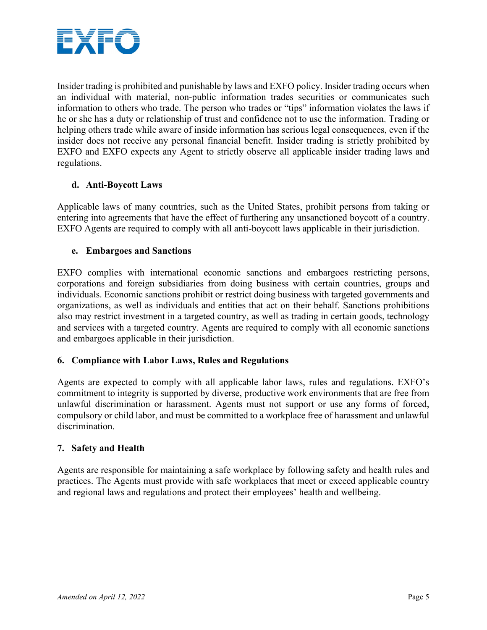

Insider trading is prohibited and punishable by laws and EXFO policy. Insider trading occurs when an individual with material, non-public information trades securities or communicates such information to others who trade. The person who trades or "tips" information violates the laws if he or she has a duty or relationship of trust and confidence not to use the information. Trading or helping others trade while aware of inside information has serious legal consequences, even if the insider does not receive any personal financial benefit. Insider trading is strictly prohibited by EXFO and EXFO expects any Agent to strictly observe all applicable insider trading laws and regulations.

### **d. Anti-Boycott Laws**

Applicable laws of many countries, such as the United States, prohibit persons from taking or entering into agreements that have the effect of furthering any unsanctioned boycott of a country. EXFO Agents are required to comply with all anti-boycott laws applicable in their jurisdiction.

### **e. Embargoes and Sanctions**

EXFO complies with international economic sanctions and embargoes restricting persons, corporations and foreign subsidiaries from doing business with certain countries, groups and individuals. Economic sanctions prohibit or restrict doing business with targeted governments and organizations, as well as individuals and entities that act on their behalf. Sanctions prohibitions also may restrict investment in a targeted country, as well as trading in certain goods, technology and services with a targeted country. Agents are required to comply with all economic sanctions and embargoes applicable in their jurisdiction.

## **6. Compliance with Labor Laws, Rules and Regulations**

Agents are expected to comply with all applicable labor laws, rules and regulations. EXFO's commitment to integrity is supported by diverse, productive work environments that are free from unlawful discrimination or harassment. Agents must not support or use any forms of forced, compulsory or child labor, and must be committed to a workplace free of harassment and unlawful discrimination.

### **7. Safety and Health**

Agents are responsible for maintaining a safe workplace by following safety and health rules and practices. The Agents must provide with safe workplaces that meet or exceed applicable country and regional laws and regulations and protect their employees' health and wellbeing.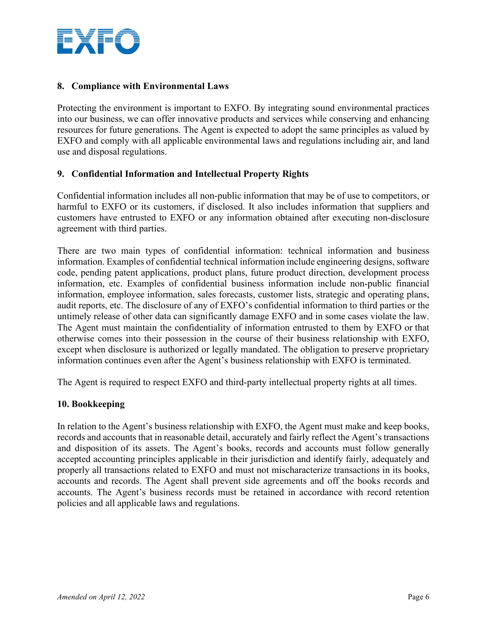

### **8. Compliance with Environmental Laws**

Protecting the environment is important to EXFO. By integrating sound environmental practices into our business, we can offer innovative products and services while conserving and enhancing resources for future generations. The Agent is expected to adopt the same principles as valued by EXFO and comply with all applicable environmental laws and regulations including air, and land use and disposal regulations.

### **9. Confidential Information and Intellectual Property Rights**

Confidential information includes all non-public information that may be of use to competitors, or harmful to EXFO or its customers, if disclosed. It also includes information that suppliers and customers have entrusted to EXFO or any information obtained after executing non-disclosure agreement with third parties.

There are two main types of confidential information: technical information and business information. Examples of confidential technical information include engineering designs, software code, pending patent applications, product plans, future product direction, development process information, etc. Examples of confidential business information include non-public financial information, employee information, sales forecasts, customer lists, strategic and operating plans, audit reports, etc. The disclosure of any of EXFO's confidential information to third parties or the untimely release of other data can significantly damage EXFO and in some cases violate the law. The Agent must maintain the confidentiality of information entrusted to them by EXFO or that otherwise comes into their possession in the course of their business relationship with EXFO, except when disclosure is authorized or legally mandated. The obligation to preserve proprietary information continues even after the Agent's business relationship with EXFO is terminated.

The Agent is required to respect EXFO and third-party intellectual property rights at all times.

### **10. Bookkeeping**

In relation to the Agent's business relationship with EXFO, the Agent must make and keep books, records and accounts that in reasonable detail, accurately and fairly reflect the Agent's transactions and disposition of its assets. The Agent's books, records and accounts must follow generally accepted accounting principles applicable in their jurisdiction and identify fairly, adequately and properly all transactions related to EXFO and must not mischaracterize transactions in its books, accounts and records. The Agent shall prevent side agreements and off the books records and accounts. The Agent's business records must be retained in accordance with record retention policies and all applicable laws and regulations.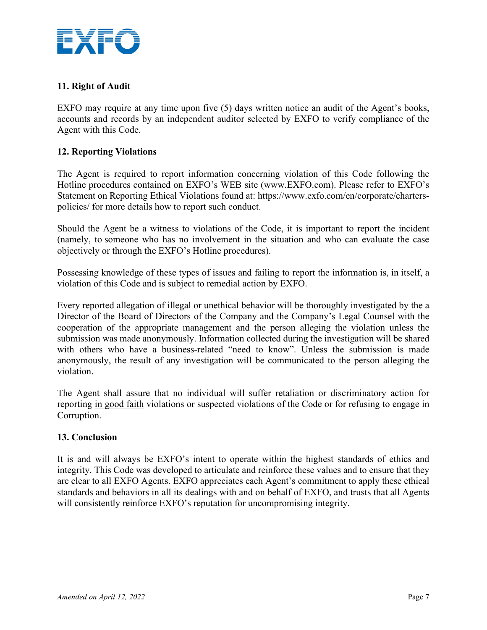

## **11. Right of Audit**

EXFO may require at any time upon five (5) days written notice an audit of the Agent's books, accounts and records by an independent auditor selected by EXFO to verify compliance of the Agent with this Code.

### **12. Reporting Violations**

The Agent is required to report information concerning violation of this Code following the Hotline procedures contained on EXFO's WEB site [\(www.EXFO.com\)](http://www.exfo.com/). Please refer to EXFO's Statement on Reporting Ethical Violations found at: https://www.exfo.com/en/corporate/charterspolicies/ for more details how to report such conduct.

Should the Agent be a witness to violations of the Code, it is important to report the incident (namely, to someone who has no involvement in the situation and who can evaluate the case objectively or through the EXFO's Hotline procedures).

Possessing knowledge of these types of issues and failing to report the information is, in itself, a violation of this Code and is subject to remedial action by EXFO.

Every reported allegation of illegal or unethical behavior will be thoroughly investigated by the a Director of the Board of Directors of the Company and the Company's Legal Counsel with the cooperation of the appropriate management and the person alleging the violation unless the submission was made anonymously. Information collected during the investigation will be shared with others who have a business-related "need to know". Unless the submission is made anonymously, the result of any investigation will be communicated to the person alleging the violation.

The Agent shall assure that no individual will suffer retaliation or discriminatory action for reporting in good faith violations or suspected violations of the Code or for refusing to engage in Corruption.

### **13. Conclusion**

It is and will always be EXFO's intent to operate within the highest standards of ethics and integrity. This Code was developed to articulate and reinforce these values and to ensure that they are clear to all EXFO Agents. EXFO appreciates each Agent's commitment to apply these ethical standards and behaviors in all its dealings with and on behalf of EXFO, and trusts that all Agents will consistently reinforce EXFO's reputation for uncompromising integrity.